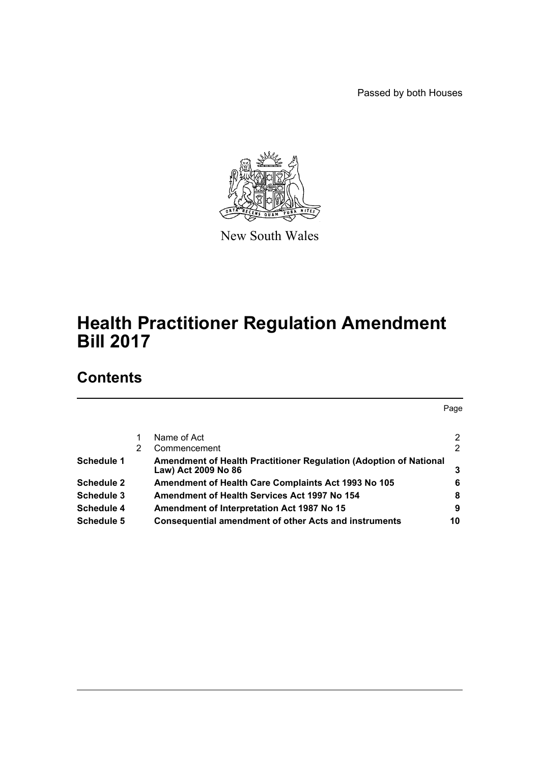Passed by both Houses



New South Wales

# **Health Practitioner Regulation Amendment Bill 2017**

# **Contents**

Page [1 Name of Act 2](#page-2-0) [2 Commencement 2](#page-2-1) 2 **Schedule 1** Amendment of Health Practitioner Regulation (Adoption of National [Law\) Act 2009 No 86 3](#page-3-0) **[Schedule 2 Amendment of Health Care Complaints Act 1993 No 105 6](#page-6-0) [Schedule 3 Amendment of Health Services Act 1997 No 154 8](#page-8-0) Schedule 4** Amendment of Interpretation Act 1987 No 15 9 **[Schedule 5 Consequential amendment of other Acts and instruments](#page-10-0) 10**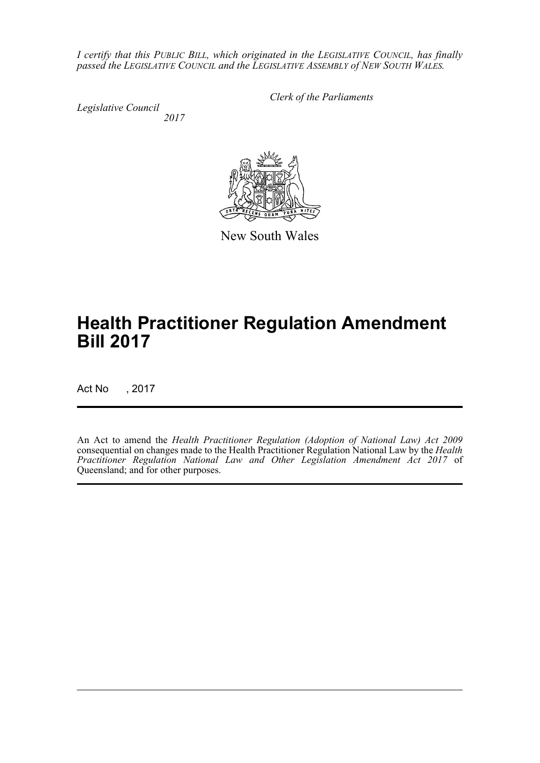*I certify that this PUBLIC BILL, which originated in the LEGISLATIVE COUNCIL, has finally passed the LEGISLATIVE COUNCIL and the LEGISLATIVE ASSEMBLY of NEW SOUTH WALES.*

*Legislative Council 2017* *Clerk of the Parliaments*



New South Wales

# **Health Practitioner Regulation Amendment Bill 2017**

Act No , 2017

An Act to amend the *Health Practitioner Regulation (Adoption of National Law) Act 2009* consequential on changes made to the Health Practitioner Regulation National Law by the *Health Practitioner Regulation National Law and Other Legislation Amendment Act 2017* of Queensland; and for other purposes.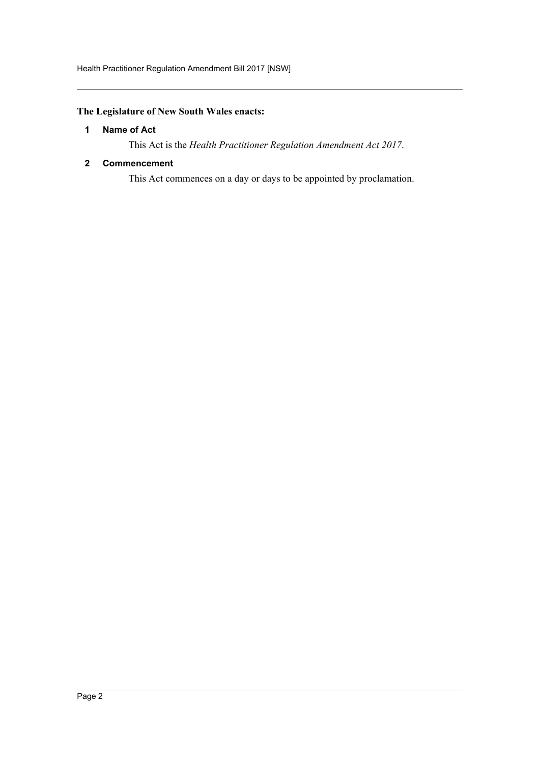# <span id="page-2-0"></span>**The Legislature of New South Wales enacts:**

## **1 Name of Act**

This Act is the *Health Practitioner Regulation Amendment Act 2017*.

## <span id="page-2-1"></span>**2 Commencement**

This Act commences on a day or days to be appointed by proclamation.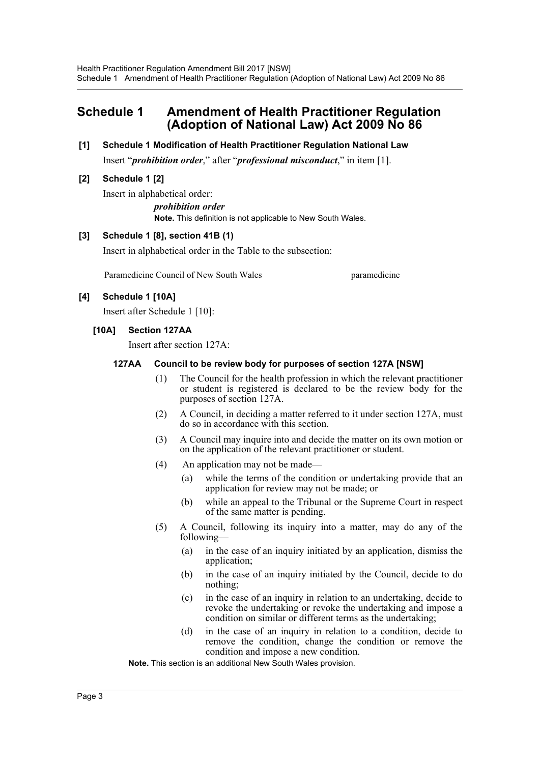# <span id="page-3-0"></span>**Schedule 1 Amendment of Health Practitioner Regulation (Adoption of National Law) Act 2009 No 86**

#### **[1] Schedule 1 Modification of Health Practitioner Regulation National Law**

Insert "*prohibition order*," after "*professional misconduct*," in item [1].

## **[2] Schedule 1 [2]**

Insert in alphabetical order: *prohibition order* **Note.** This definition is not applicable to New South Wales.

## **[3] Schedule 1 [8], section 41B (1)**

Insert in alphabetical order in the Table to the subsection:

Paramedicine Council of New South Wales **parameticine** 

#### **[4] Schedule 1 [10A]**

Insert after Schedule 1 [10]:

#### **[10A] Section 127AA**

Insert after section 127A:

#### **127AA Council to be review body for purposes of section 127A [NSW]**

- (1) The Council for the health profession in which the relevant practitioner or student is registered is declared to be the review body for the purposes of section 127A.
- (2) A Council, in deciding a matter referred to it under section 127A, must do so in accordance with this section.
- (3) A Council may inquire into and decide the matter on its own motion or on the application of the relevant practitioner or student.
- (4) An application may not be made—
	- (a) while the terms of the condition or undertaking provide that an application for review may not be made; or
	- (b) while an appeal to the Tribunal or the Supreme Court in respect of the same matter is pending.
- (5) A Council, following its inquiry into a matter, may do any of the following—
	- (a) in the case of an inquiry initiated by an application, dismiss the application;
	- (b) in the case of an inquiry initiated by the Council, decide to do nothing;
	- (c) in the case of an inquiry in relation to an undertaking, decide to revoke the undertaking or revoke the undertaking and impose a condition on similar or different terms as the undertaking;
	- (d) in the case of an inquiry in relation to a condition, decide to remove the condition, change the condition or remove the condition and impose a new condition.

**Note.** This section is an additional New South Wales provision.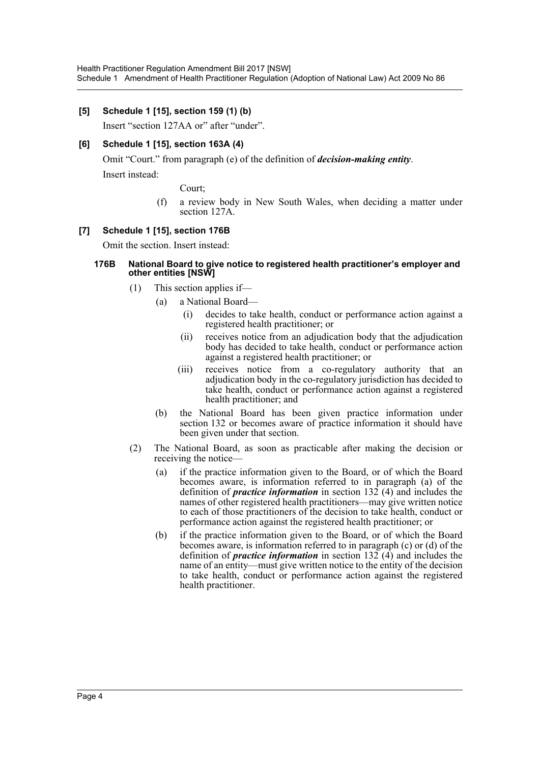#### **[5] Schedule 1 [15], section 159 (1) (b)**

Insert "section 127AA or" after "under".

## **[6] Schedule 1 [15], section 163A (4)**

Omit "Court." from paragraph (e) of the definition of *decision-making entity*.

Insert instead:

Court;

(f) a review body in New South Wales, when deciding a matter under section 127A.

#### **[7] Schedule 1 [15], section 176B**

Omit the section. Insert instead:

#### **176B National Board to give notice to registered health practitioner's employer and other entities [NSW]**

- (1) This section applies if—
	- (a) a National Board—
		- (i) decides to take health, conduct or performance action against a registered health practitioner; or
		- (ii) receives notice from an adjudication body that the adjudication body has decided to take health, conduct or performance action against a registered health practitioner; or
		- (iii) receives notice from a co-regulatory authority that an adjudication body in the co-regulatory jurisdiction has decided to take health, conduct or performance action against a registered health practitioner; and
		- (b) the National Board has been given practice information under section 132 or becomes aware of practice information it should have been given under that section.
- (2) The National Board, as soon as practicable after making the decision or receiving the notice—
	- (a) if the practice information given to the Board, or of which the Board becomes aware, is information referred to in paragraph (a) of the definition of *practice information* in section 132 (4) and includes the names of other registered health practitioners—may give written notice to each of those practitioners of the decision to take health, conduct or performance action against the registered health practitioner; or
	- (b) if the practice information given to the Board, or of which the Board becomes aware, is information referred to in paragraph (c) or (d) of the definition of *practice information* in section  $132$  (4) and includes the name of an entity—must give written notice to the entity of the decision to take health, conduct or performance action against the registered health practitioner.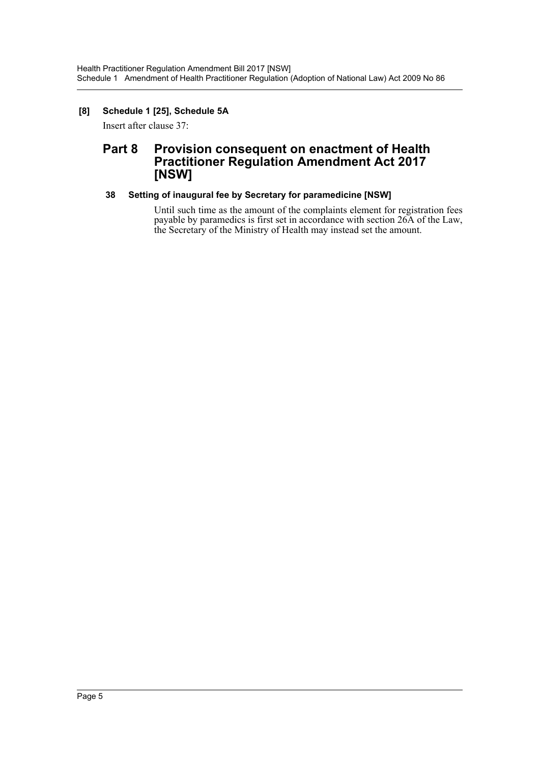## **[8] Schedule 1 [25], Schedule 5A**

Insert after clause 37:

# **Part 8 Provision consequent on enactment of Health Practitioner Regulation Amendment Act 2017 [NSW]**

## **38 Setting of inaugural fee by Secretary for paramedicine [NSW]**

Until such time as the amount of the complaints element for registration fees payable by paramedics is first set in accordance with section 26A of the Law, the Secretary of the Ministry of Health may instead set the amount.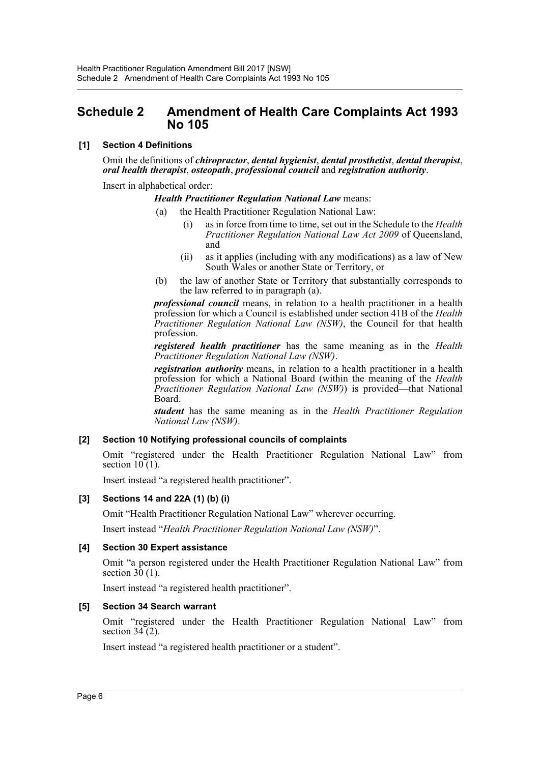# <span id="page-6-0"></span>**Schedule 2 Amendment of Health Care Complaints Act 1993 No 105**

#### **[1] Section 4 Definitions**

Omit the definitions of *chiropractor*, *dental hygienist*, *dental prosthetist*, *dental therapist*, *oral health therapist*, *osteopath*, *professional council* and *registration authority*.

Insert in alphabetical order:

#### *Health Practitioner Regulation National Law* means:

- the Health Practitioner Regulation National Law:
	- (i) as in force from time to time, set out in the Schedule to the *Health Practitioner Regulation National Law Act 2009* of Queensland, and
	- (ii) as it applies (including with any modifications) as a law of New South Wales or another State or Territory, or
- (b) the law of another State or Territory that substantially corresponds to the law referred to in paragraph (a).

*professional council* means, in relation to a health practitioner in a health profession for which a Council is established under section 41B of the *Health Practitioner Regulation National Law (NSW)*, the Council for that health profession.

*registered health practitioner* has the same meaning as in the *Health Practitioner Regulation National Law (NSW)*.

*registration authority* means, in relation to a health practitioner in a health profession for which a National Board (within the meaning of the *Health Practitioner Regulation National Law (NSW)*) is provided—that National Board.

*student* has the same meaning as in the *Health Practitioner Regulation National Law (NSW)*.

#### **[2] Section 10 Notifying professional councils of complaints**

Omit "registered under the Health Practitioner Regulation National Law" from section  $10(1)$ .

Insert instead "a registered health practitioner".

#### **[3] Sections 14 and 22A (1) (b) (i)**

Omit "Health Practitioner Regulation National Law" wherever occurring.

Insert instead "*Health Practitioner Regulation National Law (NSW)*".

#### **[4] Section 30 Expert assistance**

Omit "a person registered under the Health Practitioner Regulation National Law" from section  $3\overline{0}$  (1).

Insert instead "a registered health practitioner".

#### **[5] Section 34 Search warrant**

Omit "registered under the Health Practitioner Regulation National Law" from section  $34(2)$ .

Insert instead "a registered health practitioner or a student".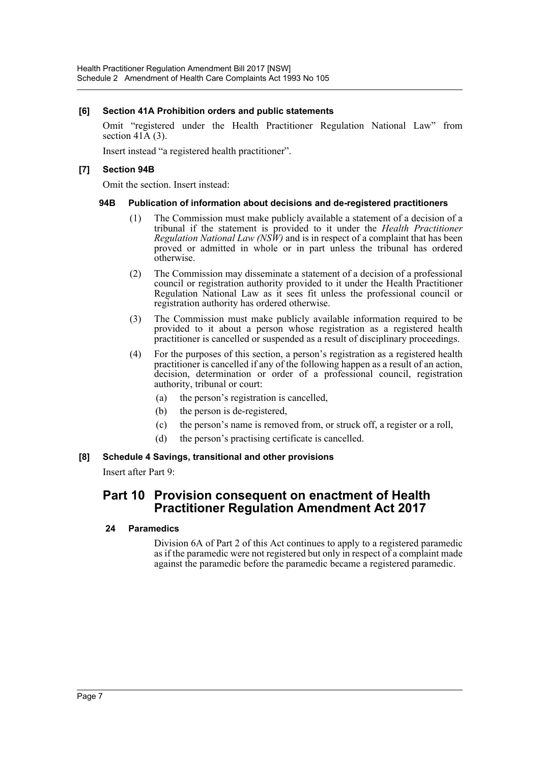#### **[6] Section 41A Prohibition orders and public statements**

Omit "registered under the Health Practitioner Regulation National Law" from section  $41\overline{A}$  (3).

Insert instead "a registered health practitioner".

## **[7] Section 94B**

Omit the section. Insert instead:

#### **94B Publication of information about decisions and de-registered practitioners**

- (1) The Commission must make publicly available a statement of a decision of a tribunal if the statement is provided to it under the *Health Practitioner Regulation National Law (NSW)* and is in respect of a complaint that has been proved or admitted in whole or in part unless the tribunal has ordered otherwise.
- (2) The Commission may disseminate a statement of a decision of a professional council or registration authority provided to it under the Health Practitioner Regulation National Law as it sees fit unless the professional council or registration authority has ordered otherwise.
- (3) The Commission must make publicly available information required to be provided to it about a person whose registration as a registered health practitioner is cancelled or suspended as a result of disciplinary proceedings.
- (4) For the purposes of this section, a person's registration as a registered health practitioner is cancelled if any of the following happen as a result of an action, decision, determination or order of a professional council, registration authority, tribunal or court:
	- (a) the person's registration is cancelled,
	- (b) the person is de-registered,
	- (c) the person's name is removed from, or struck off, a register or a roll,
	- (d) the person's practising certificate is cancelled.

#### **[8] Schedule 4 Savings, transitional and other provisions**

Insert after Part 9:

# **Part 10 Provision consequent on enactment of Health Practitioner Regulation Amendment Act 2017**

#### **24 Paramedics**

Division 6A of Part 2 of this Act continues to apply to a registered paramedic as if the paramedic were not registered but only in respect of a complaint made against the paramedic before the paramedic became a registered paramedic.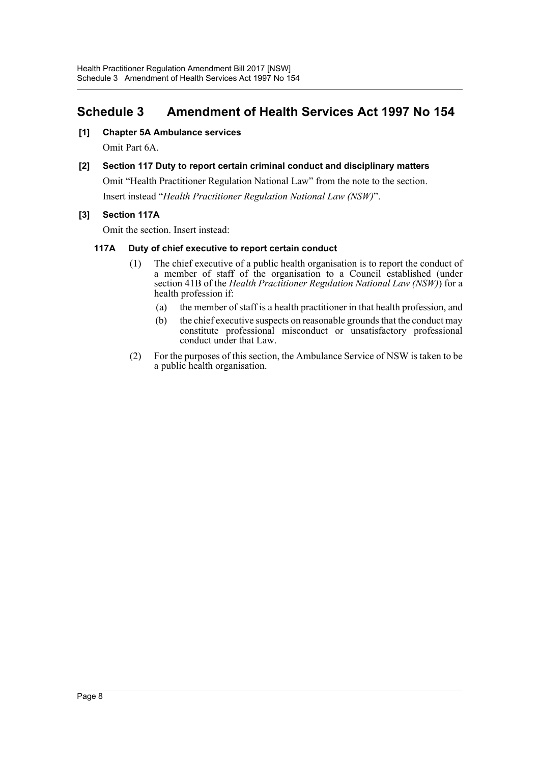# <span id="page-8-0"></span>**Schedule 3 Amendment of Health Services Act 1997 No 154**

## **[1] Chapter 5A Ambulance services**

Omit Part 6A.

# **[2] Section 117 Duty to report certain criminal conduct and disciplinary matters**

Omit "Health Practitioner Regulation National Law" from the note to the section.

Insert instead "*Health Practitioner Regulation National Law (NSW)*".

## **[3] Section 117A**

Omit the section. Insert instead:

#### **117A Duty of chief executive to report certain conduct**

- (1) The chief executive of a public health organisation is to report the conduct of a member of staff of the organisation to a Council established (under section 41B of the *Health Practitioner Regulation National Law (NSW)*) for a health profession if:
	- (a) the member of staff is a health practitioner in that health profession, and
	- (b) the chief executive suspects on reasonable grounds that the conduct may constitute professional misconduct or unsatisfactory professional conduct under that Law.
- (2) For the purposes of this section, the Ambulance Service of NSW is taken to be a public health organisation.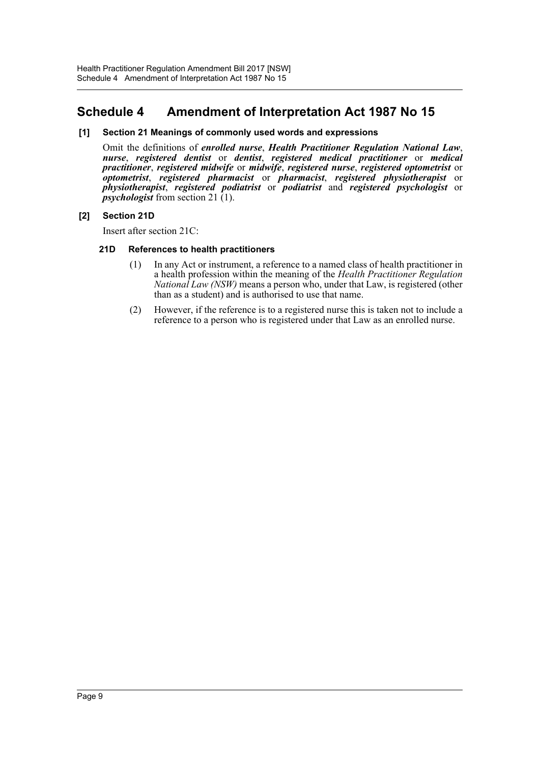# <span id="page-9-0"></span>**Schedule 4 Amendment of Interpretation Act 1987 No 15**

#### **[1] Section 21 Meanings of commonly used words and expressions**

Omit the definitions of *enrolled nurse*, *Health Practitioner Regulation National Law*, *nurse*, *registered dentist* or *dentist*, *registered medical practitioner* or *medical practitioner*, *registered midwife* or *midwife*, *registered nurse*, *registered optometrist* or *optometrist*, *registered pharmacist* or *pharmacist*, *registered physiotherapist* or *physiotherapist*, *registered podiatrist* or *podiatrist* and *registered psychologist* or *psychologist* from section 21 (1).

#### **[2] Section 21D**

Insert after section 21C:

#### **21D References to health practitioners**

- (1) In any Act or instrument, a reference to a named class of health practitioner in a health profession within the meaning of the *Health Practitioner Regulation National Law (NSW)* means a person who, under that Law, is registered (other than as a student) and is authorised to use that name.
- (2) However, if the reference is to a registered nurse this is taken not to include a reference to a person who is registered under that Law as an enrolled nurse.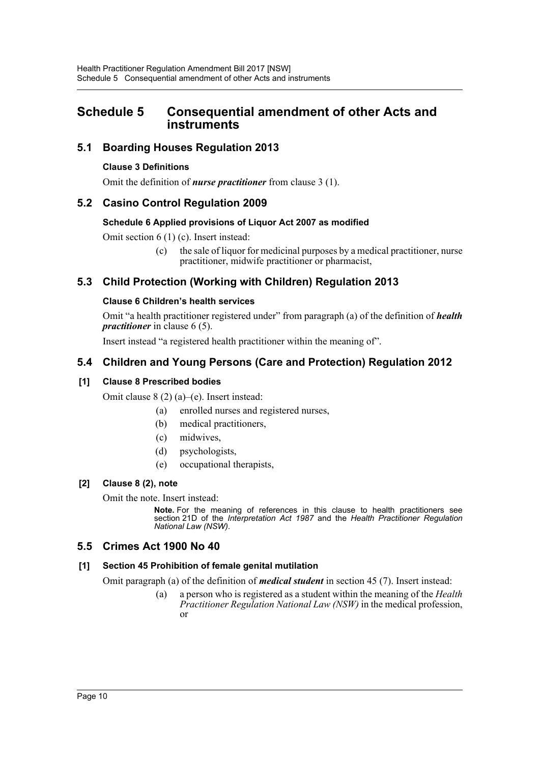# <span id="page-10-0"></span>**Schedule 5 Consequential amendment of other Acts and instruments**

# **5.1 Boarding Houses Regulation 2013**

## **Clause 3 Definitions**

Omit the definition of *nurse practitioner* from clause 3 (1).

# **5.2 Casino Control Regulation 2009**

#### **Schedule 6 Applied provisions of Liquor Act 2007 as modified**

Omit section 6 (1) (c). Insert instead:

(c) the sale of liquor for medicinal purposes by a medical practitioner, nurse practitioner, midwife practitioner or pharmacist,

# **5.3 Child Protection (Working with Children) Regulation 2013**

## **Clause 6 Children's health services**

Omit "a health practitioner registered under" from paragraph (a) of the definition of *health practitioner* in clause 6 (5).

Insert instead "a registered health practitioner within the meaning of".

# **5.4 Children and Young Persons (Care and Protection) Regulation 2012**

# **[1] Clause 8 Prescribed bodies**

Omit clause 8 (2) (a)–(e). Insert instead:

- (a) enrolled nurses and registered nurses,
- (b) medical practitioners,
- (c) midwives,
- (d) psychologists,
- (e) occupational therapists,

## **[2] Clause 8 (2), note**

Omit the note. Insert instead:

**Note.** For the meaning of references in this clause to health practitioners see section 21D of the *Interpretation Act 1987* and the *Health Practitioner Regulation National Law (NSW)*.

# **5.5 Crimes Act 1900 No 40**

## **[1] Section 45 Prohibition of female genital mutilation**

Omit paragraph (a) of the definition of *medical student* in section 45 (7). Insert instead:

(a) a person who is registered as a student within the meaning of the *Health Practitioner Regulation National Law (NSW)* in the medical profession, or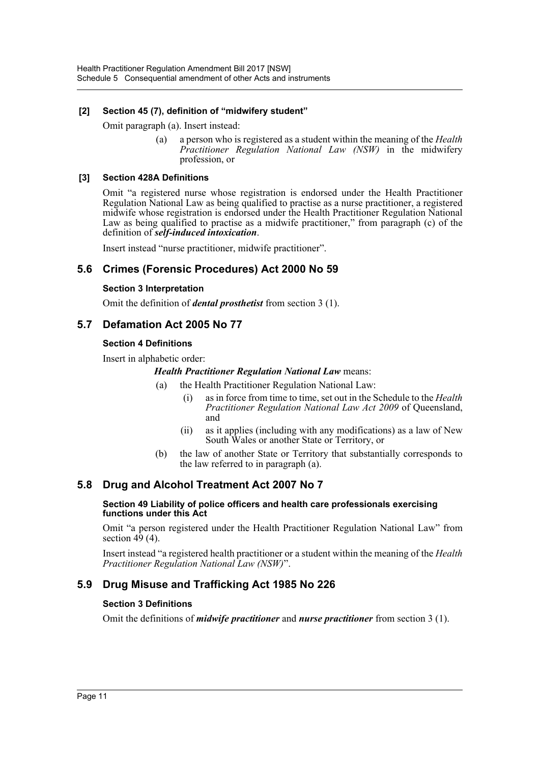## **[2] Section 45 (7), definition of "midwifery student"**

Omit paragraph (a). Insert instead:

(a) a person who is registered as a student within the meaning of the *Health Practitioner Regulation National Law (NSW)* in the midwifery profession, or

#### **[3] Section 428A Definitions**

Omit "a registered nurse whose registration is endorsed under the Health Practitioner Regulation National Law as being qualified to practise as a nurse practitioner, a registered midwife whose registration is endorsed under the Health Practitioner Regulation National Law as being qualified to practise as a midwife practitioner," from paragraph (c) of the definition of *self-induced intoxication*.

Insert instead "nurse practitioner, midwife practitioner".

# **5.6 Crimes (Forensic Procedures) Act 2000 No 59**

#### **Section 3 Interpretation**

Omit the definition of *dental prosthetist* from section 3 (1).

# **5.7 Defamation Act 2005 No 77**

#### **Section 4 Definitions**

Insert in alphabetic order:

#### *Health Practitioner Regulation National Law* means:

- (a) the Health Practitioner Regulation National Law:
	- (i) as in force from time to time, set out in the Schedule to the *Health Practitioner Regulation National Law Act 2009* of Queensland, and
	- (ii) as it applies (including with any modifications) as a law of New South Wales or another State or Territory, or
- (b) the law of another State or Territory that substantially corresponds to the law referred to in paragraph (a).

# **5.8 Drug and Alcohol Treatment Act 2007 No 7**

#### **Section 49 Liability of police officers and health care professionals exercising functions under this Act**

Omit "a person registered under the Health Practitioner Regulation National Law" from section 49 (4).

Insert instead "a registered health practitioner or a student within the meaning of the *Health Practitioner Regulation National Law (NSW)*".

# **5.9 Drug Misuse and Trafficking Act 1985 No 226**

## **Section 3 Definitions**

Omit the definitions of *midwife practitioner* and *nurse practitioner* from section 3 (1).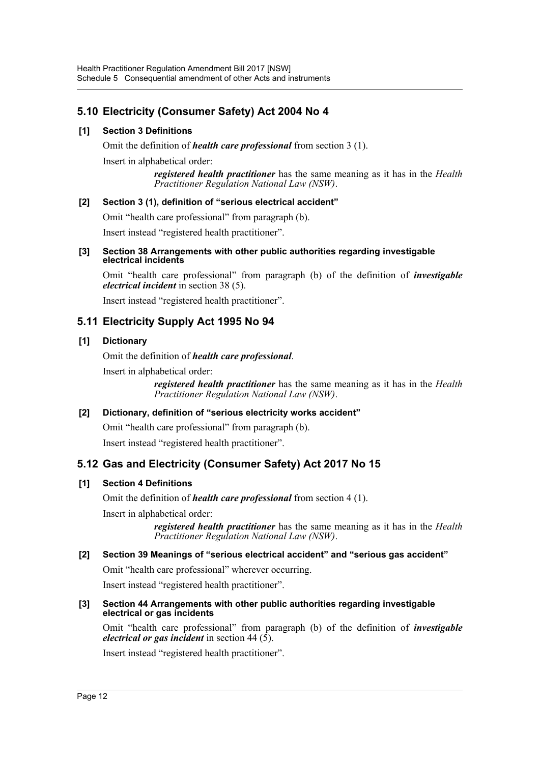# **5.10 Electricity (Consumer Safety) Act 2004 No 4**

## **[1] Section 3 Definitions**

Omit the definition of *health care professional* from section 3 (1).

Insert in alphabetical order:

*registered health practitioner* has the same meaning as it has in the *Health Practitioner Regulation National Law (NSW)*.

## **[2] Section 3 (1), definition of "serious electrical accident"**

Omit "health care professional" from paragraph (b).

Insert instead "registered health practitioner".

#### **[3] Section 38 Arrangements with other public authorities regarding investigable electrical incidents**

Omit "health care professional" from paragraph (b) of the definition of *investigable electrical incident* in section 38 (5).

Insert instead "registered health practitioner".

# **5.11 Electricity Supply Act 1995 No 94**

# **[1] Dictionary**

Omit the definition of *health care professional*.

Insert in alphabetical order:

*registered health practitioner* has the same meaning as it has in the *Health Practitioner Regulation National Law (NSW)*.

## **[2] Dictionary, definition of "serious electricity works accident"**

Omit "health care professional" from paragraph (b).

Insert instead "registered health practitioner".

# **5.12 Gas and Electricity (Consumer Safety) Act 2017 No 15**

## **[1] Section 4 Definitions**

Omit the definition of *health care professional* from section 4 (1).

Insert in alphabetical order:

*registered health practitioner* has the same meaning as it has in the *Health Practitioner Regulation National Law (NSW)*.

## **[2] Section 39 Meanings of "serious electrical accident" and "serious gas accident"**

Omit "health care professional" wherever occurring.

Insert instead "registered health practitioner".

#### **[3] Section 44 Arrangements with other public authorities regarding investigable electrical or gas incidents**

Omit "health care professional" from paragraph (b) of the definition of *investigable electrical or gas incident* in section 44  $(5)$ .

Insert instead "registered health practitioner".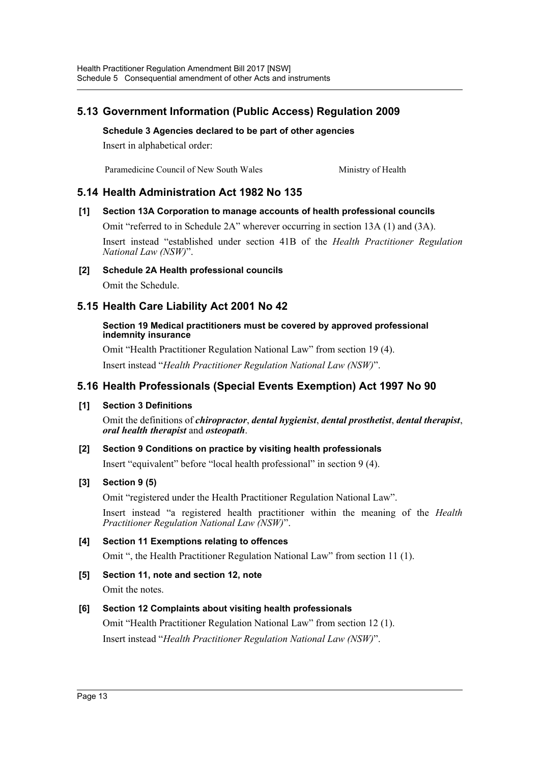# **5.13 Government Information (Public Access) Regulation 2009**

**Schedule 3 Agencies declared to be part of other agencies**

Insert in alphabetical order:

Paramedicine Council of New South Wales Ministry of Health

# **5.14 Health Administration Act 1982 No 135**

## **[1] Section 13A Corporation to manage accounts of health professional councils**

Omit "referred to in Schedule 2A" wherever occurring in section 13A (1) and (3A).

Insert instead "established under section 41B of the *Health Practitioner Regulation National Law (NSW)*".

**[2] Schedule 2A Health professional councils**

Omit the Schedule.

# **5.15 Health Care Liability Act 2001 No 42**

#### **Section 19 Medical practitioners must be covered by approved professional indemnity insurance**

Omit "Health Practitioner Regulation National Law" from section 19 (4). Insert instead "*Health Practitioner Regulation National Law (NSW)*".

# **5.16 Health Professionals (Special Events Exemption) Act 1997 No 90**

## **[1] Section 3 Definitions**

Omit the definitions of *chiropractor*, *dental hygienist*, *dental prosthetist*, *dental therapist*, *oral health therapist* and *osteopath*.

## **[2] Section 9 Conditions on practice by visiting health professionals**

Insert "equivalent" before "local health professional" in section 9 (4).

## **[3] Section 9 (5)**

Omit "registered under the Health Practitioner Regulation National Law".

Insert instead "a registered health practitioner within the meaning of the *Health Practitioner Regulation National Law (NSW)*".

## **[4] Section 11 Exemptions relating to offences**

Omit ", the Health Practitioner Regulation National Law" from section 11 (1).

**[5] Section 11, note and section 12, note** Omit the notes.

## **[6] Section 12 Complaints about visiting health professionals**

Omit "Health Practitioner Regulation National Law" from section 12 (1). Insert instead "*Health Practitioner Regulation National Law (NSW)*".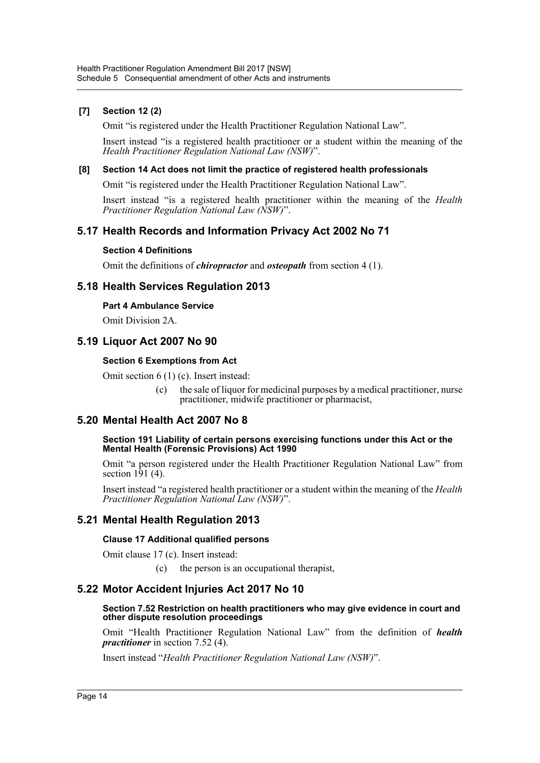## **[7] Section 12 (2)**

Omit "is registered under the Health Practitioner Regulation National Law".

Insert instead "is a registered health practitioner or a student within the meaning of the *Health Practitioner Regulation National Law (NSW)*".

#### **[8] Section 14 Act does not limit the practice of registered health professionals**

Omit "is registered under the Health Practitioner Regulation National Law".

Insert instead "is a registered health practitioner within the meaning of the *Health Practitioner Regulation National Law (NSW)*".

# **5.17 Health Records and Information Privacy Act 2002 No 71**

#### **Section 4 Definitions**

Omit the definitions of *chiropractor* and *osteopath* from section 4 (1).

# **5.18 Health Services Regulation 2013**

#### **Part 4 Ambulance Service**

Omit Division 2A.

# **5.19 Liquor Act 2007 No 90**

## **Section 6 Exemptions from Act**

Omit section 6 (1) (c). Insert instead:

the sale of liquor for medicinal purposes by a medical practitioner, nurse practitioner, midwife practitioner or pharmacist,

# **5.20 Mental Health Act 2007 No 8**

#### **Section 191 Liability of certain persons exercising functions under this Act or the Mental Health (Forensic Provisions) Act 1990**

Omit "a person registered under the Health Practitioner Regulation National Law" from section  $1\overline{9}1$  (4).

Insert instead "a registered health practitioner or a student within the meaning of the *Health Practitioner Regulation National Law (NSW)*".

# **5.21 Mental Health Regulation 2013**

#### **Clause 17 Additional qualified persons**

Omit clause 17 (c). Insert instead:

(c) the person is an occupational therapist,

## **5.22 Motor Accident Injuries Act 2017 No 10**

#### **Section 7.52 Restriction on health practitioners who may give evidence in court and other dispute resolution proceedings**

Omit "Health Practitioner Regulation National Law" from the definition of *health practitioner* in section 7.52 (4).

Insert instead "*Health Practitioner Regulation National Law (NSW)*".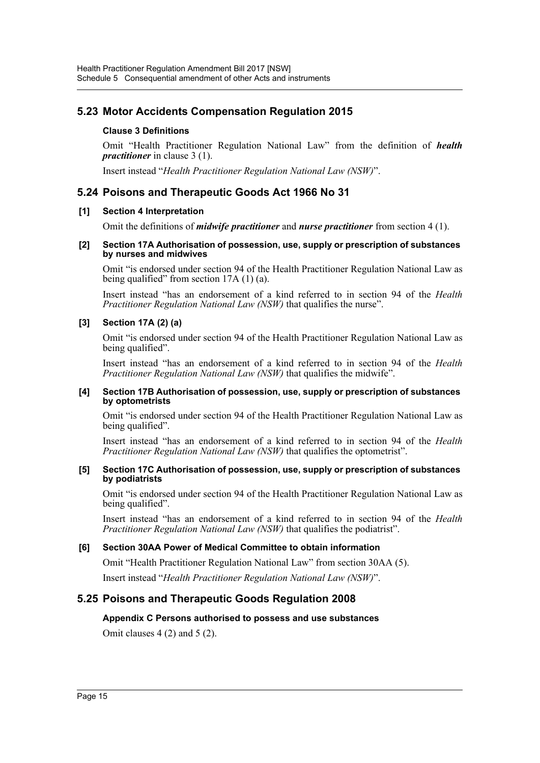# **5.23 Motor Accidents Compensation Regulation 2015**

## **Clause 3 Definitions**

Omit "Health Practitioner Regulation National Law" from the definition of *health practitioner* in clause 3 (1).

Insert instead "*Health Practitioner Regulation National Law (NSW)*".

# **5.24 Poisons and Therapeutic Goods Act 1966 No 31**

#### **[1] Section 4 Interpretation**

Omit the definitions of *midwife practitioner* and *nurse practitioner* from section 4 (1).

#### **[2] Section 17A Authorisation of possession, use, supply or prescription of substances by nurses and midwives**

Omit "is endorsed under section 94 of the Health Practitioner Regulation National Law as being qualified" from section 17A (1) (a).

Insert instead "has an endorsement of a kind referred to in section 94 of the *Health Practitioner Regulation National Law (NSW)* that qualifies the nurse".

#### **[3] Section 17A (2) (a)**

Omit "is endorsed under section 94 of the Health Practitioner Regulation National Law as being qualified".

Insert instead "has an endorsement of a kind referred to in section 94 of the *Health Practitioner Regulation National Law (NSW)* that qualifies the midwife".

#### **[4] Section 17B Authorisation of possession, use, supply or prescription of substances by optometrists**

Omit "is endorsed under section 94 of the Health Practitioner Regulation National Law as being qualified".

Insert instead "has an endorsement of a kind referred to in section 94 of the *Health Practitioner Regulation National Law (NSW)* that qualifies the optometrist".

#### **[5] Section 17C Authorisation of possession, use, supply or prescription of substances by podiatrists**

Omit "is endorsed under section 94 of the Health Practitioner Regulation National Law as being qualified".

Insert instead "has an endorsement of a kind referred to in section 94 of the *Health Practitioner Regulation National Law (NSW)* that qualifies the podiatrist".

## **[6] Section 30AA Power of Medical Committee to obtain information**

Omit "Health Practitioner Regulation National Law" from section 30AA (5).

Insert instead "*Health Practitioner Regulation National Law (NSW)*".

# **5.25 Poisons and Therapeutic Goods Regulation 2008**

#### **Appendix C Persons authorised to possess and use substances**

Omit clauses 4 (2) and 5 (2).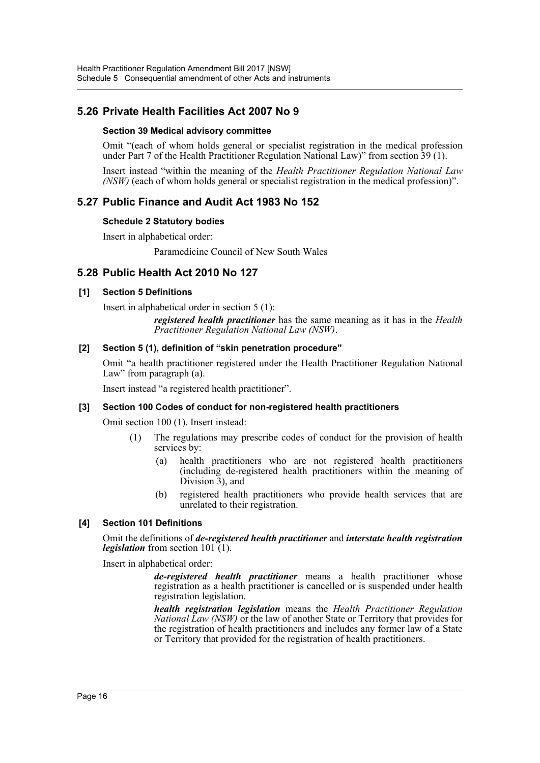# **5.26 Private Health Facilities Act 2007 No 9**

#### **Section 39 Medical advisory committee**

Omit "(each of whom holds general or specialist registration in the medical profession under Part 7 of the Health Practitioner Regulation National Law)" from section 39 (1).

Insert instead "within the meaning of the *Health Practitioner Regulation National Law (NSW)* (each of whom holds general or specialist registration in the medical profession)".

# **5.27 Public Finance and Audit Act 1983 No 152**

#### **Schedule 2 Statutory bodies**

Insert in alphabetical order:

Paramedicine Council of New South Wales

# **5.28 Public Health Act 2010 No 127**

#### **[1] Section 5 Definitions**

Insert in alphabetical order in section 5 (1):

*registered health practitioner* has the same meaning as it has in the *Health Practitioner Regulation National Law (NSW)*.

#### **[2] Section 5 (1), definition of "skin penetration procedure"**

Omit "a health practitioner registered under the Health Practitioner Regulation National Law" from paragraph (a).

Insert instead "a registered health practitioner".

#### **[3] Section 100 Codes of conduct for non-registered health practitioners**

Omit section 100 (1). Insert instead:

- (1) The regulations may prescribe codes of conduct for the provision of health services by:
	- (a) health practitioners who are not registered health practitioners (including de-registered health practitioners within the meaning of Division 3), and
	- (b) registered health practitioners who provide health services that are unrelated to their registration.

#### **[4] Section 101 Definitions**

Omit the definitions of *de-registered health practitioner* and *interstate health registration legislation* from section 101 (1).

Insert in alphabetical order:

*de-registered health practitioner* means a health practitioner whose registration as a health practitioner is cancelled or is suspended under health registration legislation.

*health registration legislation* means the *Health Practitioner Regulation National Law (NSW)* or the law of another State or Territory that provides for the registration of health practitioners and includes any former law of a State or Territory that provided for the registration of health practitioners.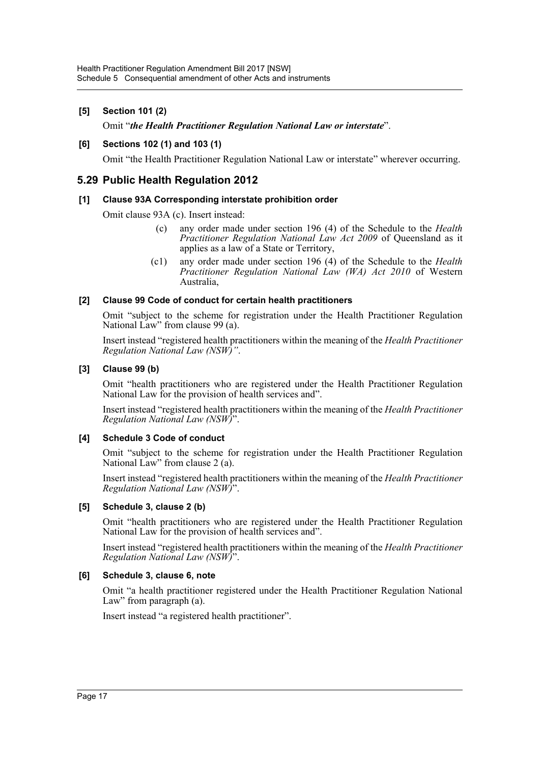## **[5] Section 101 (2)**

## Omit "*the Health Practitioner Regulation National Law or interstate*".

#### **[6] Sections 102 (1) and 103 (1)**

Omit "the Health Practitioner Regulation National Law or interstate" wherever occurring.

# **5.29 Public Health Regulation 2012**

#### **[1] Clause 93A Corresponding interstate prohibition order**

Omit clause 93A (c). Insert instead:

- (c) any order made under section 196 (4) of the Schedule to the *Health Practitioner Regulation National Law Act 2009* of Queensland as it applies as a law of a State or Territory,
- (c1) any order made under section 196 (4) of the Schedule to the *Health Practitioner Regulation National Law (WA) Act 2010* of Western Australia,

#### **[2] Clause 99 Code of conduct for certain health practitioners**

Omit "subject to the scheme for registration under the Health Practitioner Regulation National Law" from clause 99 (a).

Insert instead "registered health practitioners within the meaning of the *Health Practitioner Regulation National Law (NSW)"*.

#### **[3] Clause 99 (b)**

Omit "health practitioners who are registered under the Health Practitioner Regulation National Law for the provision of health services and".

Insert instead "registered health practitioners within the meaning of the *Health Practitioner Regulation National Law (NSW)*".

#### **[4] Schedule 3 Code of conduct**

Omit "subject to the scheme for registration under the Health Practitioner Regulation National Law" from clause 2 (a).

Insert instead "registered health practitioners within the meaning of the *Health Practitioner Regulation National Law (NSW)*".

#### **[5] Schedule 3, clause 2 (b)**

Omit "health practitioners who are registered under the Health Practitioner Regulation National Law for the provision of health services and".

Insert instead "registered health practitioners within the meaning of the *Health Practitioner Regulation National Law (NSW)*".

#### **[6] Schedule 3, clause 6, note**

Omit "a health practitioner registered under the Health Practitioner Regulation National Law" from paragraph (a).

Insert instead "a registered health practitioner".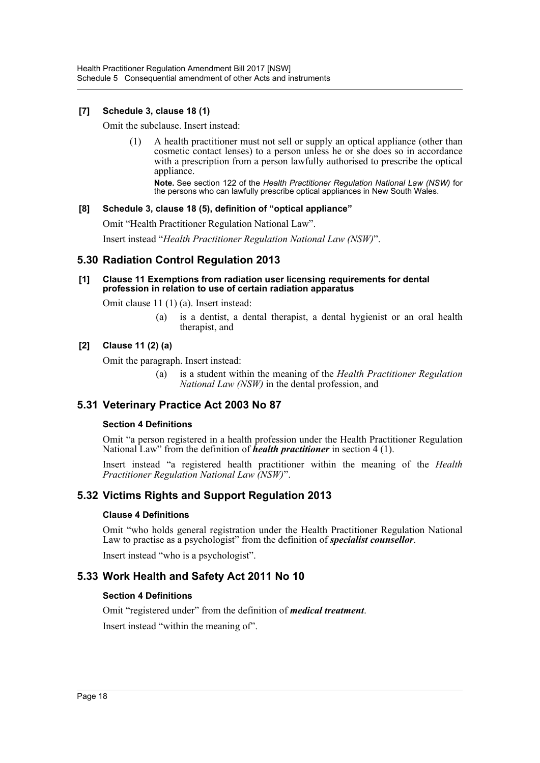## **[7] Schedule 3, clause 18 (1)**

Omit the subclause. Insert instead:

(1) A health practitioner must not sell or supply an optical appliance (other than cosmetic contact lenses) to a person unless he or she does so in accordance with a prescription from a person lawfully authorised to prescribe the optical appliance.

**Note.** See section 122 of the *Health Practitioner Regulation National Law (NSW)* for the persons who can lawfully prescribe optical appliances in New South Wales.

#### **[8] Schedule 3, clause 18 (5), definition of "optical appliance"**

Omit "Health Practitioner Regulation National Law".

Insert instead "*Health Practitioner Regulation National Law (NSW)*".

# **5.30 Radiation Control Regulation 2013**

#### **[1] Clause 11 Exemptions from radiation user licensing requirements for dental profession in relation to use of certain radiation apparatus**

Omit clause 11 (1) (a). Insert instead:

(a) is a dentist, a dental therapist, a dental hygienist or an oral health therapist, and

#### **[2] Clause 11 (2) (a)**

Omit the paragraph. Insert instead:

(a) is a student within the meaning of the *Health Practitioner Regulation National Law (NSW)* in the dental profession, and

# **5.31 Veterinary Practice Act 2003 No 87**

#### **Section 4 Definitions**

Omit "a person registered in a health profession under the Health Practitioner Regulation National Law" from the definition of *health practitioner* in section 4 (1).

Insert instead "a registered health practitioner within the meaning of the *Health Practitioner Regulation National Law (NSW)*".

# **5.32 Victims Rights and Support Regulation 2013**

#### **Clause 4 Definitions**

Omit "who holds general registration under the Health Practitioner Regulation National Law to practise as a psychologist" from the definition of *specialist counsellor*.

Insert instead "who is a psychologist".

# **5.33 Work Health and Safety Act 2011 No 10**

#### **Section 4 Definitions**

Omit "registered under" from the definition of *medical treatment*.

Insert instead "within the meaning of".